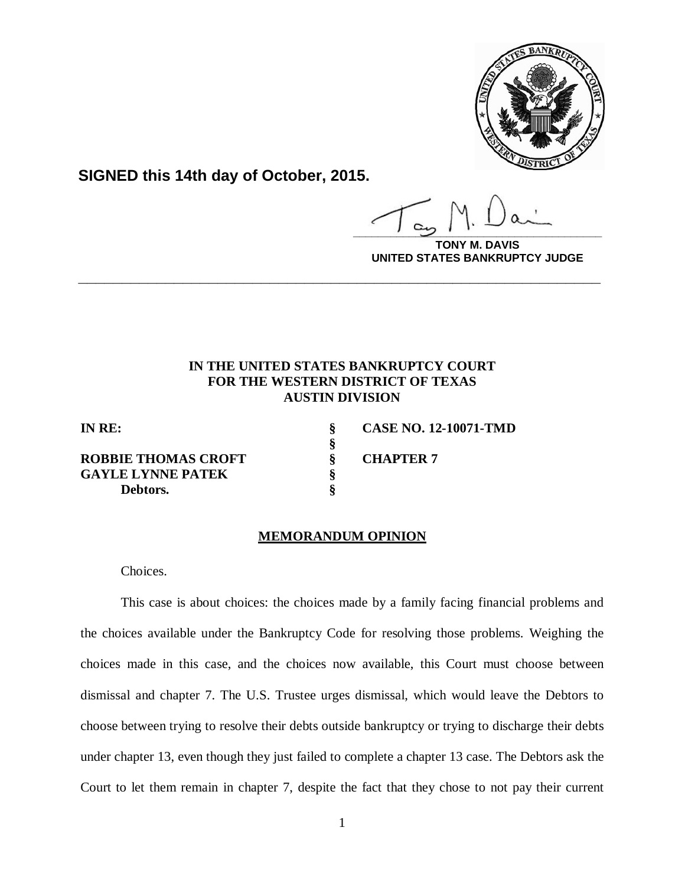

**SIGNED this 14th day of October, 2015.**

**\_\_\_\_\_\_\_\_\_\_\_\_\_\_\_\_\_\_\_\_\_\_\_\_\_\_\_\_\_\_\_\_\_\_\_\_\_\_\_\_**

**DAVIS UNITED STATES BANKRUPTCY JUDGE**

# **IN THE UNITED STATES BANKRUPTCY COURT FOR THE WESTERN DISTRICT OF TEXAS AUSTIN DIVISION**

**\_\_\_\_\_\_\_\_\_\_\_\_\_\_\_\_\_\_\_\_\_\_\_\_\_\_\_\_\_\_\_\_\_\_\_\_\_\_\_\_\_\_\_\_\_\_\_\_\_\_\_\_\_\_\_\_\_\_\_\_**

**§**

**ROBBIE THOMAS CROFT § CHAPTER 7 GAYLE LYNNE PATEK § Debtors. §**

**IN RE: § CASE NO. 12-10071-TMD**

#### **MEMORANDUM OPINION**

Choices.

This case is about choices: the choices made by a family facing financial problems and the choices available under the Bankruptcy Code for resolving those problems. Weighing the choices made in this case, and the choices now available, this Court must choose between dismissal and chapter 7. The U.S. Trustee urges dismissal, which would leave the Debtors to choose between trying to resolve their debts outside bankruptcy or trying to discharge their debts under chapter 13, even though they just failed to complete a chapter 13 case. The Debtors ask the Court to let them remain in chapter 7, despite the fact that they chose to not pay their current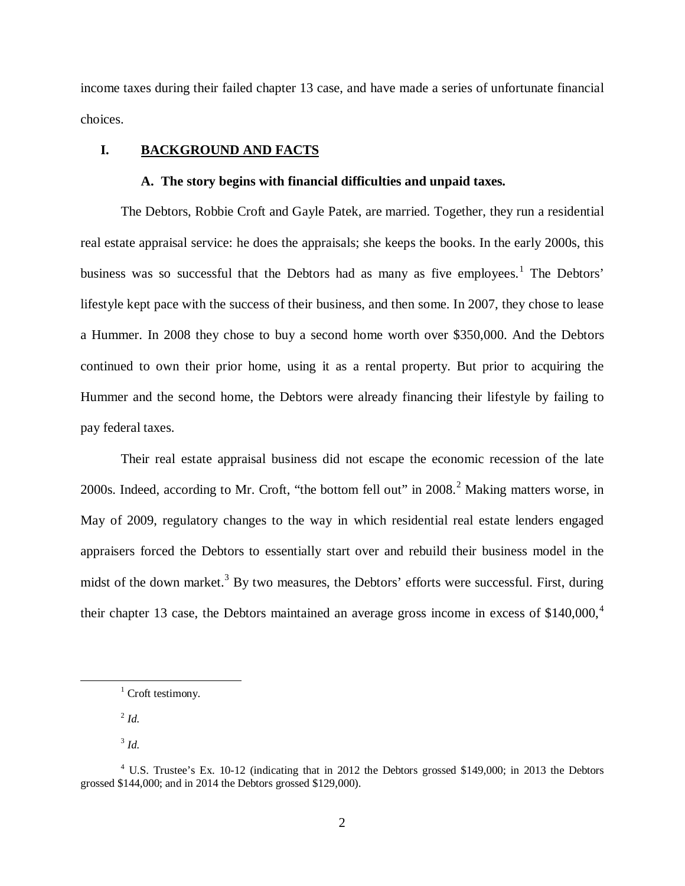income taxes during their failed chapter 13 case, and have made a series of unfortunate financial choices.

# **I. BACKGROUND AND FACTS**

#### **A. The story begins with financial difficulties and unpaid taxes.**

The Debtors, Robbie Croft and Gayle Patek, are married. Together, they run a residential real estate appraisal service: he does the appraisals; she keeps the books. In the early 2000s, this business was so successful that the Debtors had as many as five employees.<sup>[1](#page-1-0)</sup> The Debtors' lifestyle kept pace with the success of their business, and then some. In 2007, they chose to lease a Hummer. In 2008 they chose to buy a second home worth over \$350,000. And the Debtors continued to own their prior home, using it as a rental property. But prior to acquiring the Hummer and the second home, the Debtors were already financing their lifestyle by failing to pay federal taxes.

Their real estate appraisal business did not escape the economic recession of the late [2](#page-1-1)000s. Indeed, according to Mr. Croft, "the bottom fell out" in 2008.<sup>2</sup> Making matters worse, in May of 2009, regulatory changes to the way in which residential real estate lenders engaged appraisers forced the Debtors to essentially start over and rebuild their business model in the midst of the down market.<sup>[3](#page-1-2)</sup> By two measures, the Debtors' efforts were successful. First, during their chapter 13 case, the Debtors maintained an average gross income in excess of \$1[4](#page-1-3)0,000,<sup>4</sup>

<sup>2</sup> *Id.*

<span id="page-1-1"></span><span id="page-1-0"></span> $\overline{a}$ 

 $3$  *Id.* 

 $1$  Croft testimony.

<span id="page-1-3"></span><span id="page-1-2"></span><sup>4</sup> U.S. Trustee's Ex. 10-12 (indicating that in 2012 the Debtors grossed \$149,000; in 2013 the Debtors grossed \$144,000; and in 2014 the Debtors grossed \$129,000).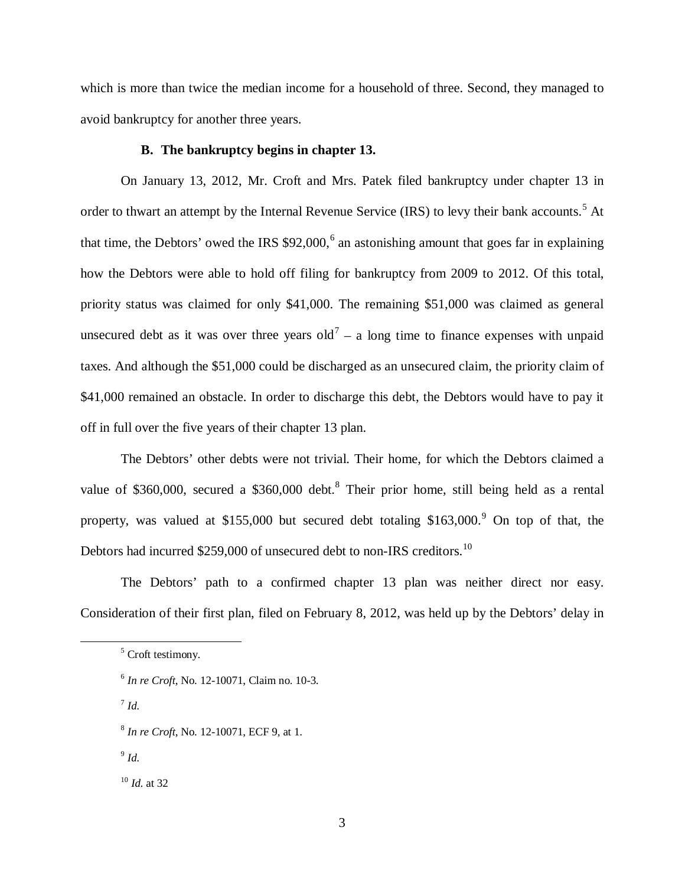which is more than twice the median income for a household of three. Second, they managed to avoid bankruptcy for another three years.

### **B. The bankruptcy begins in chapter 13.**

On January 13, 2012, Mr. Croft and Mrs. Patek filed bankruptcy under chapter 13 in order to thwart an attempt by the Internal Revenue Service (IRS) to levy their bank accounts.<sup>[5](#page-2-0)</sup> At that time, the Debtors' owed the IRS  $$92,000$ ,  $^6$  $^6$  an astonishing amount that goes far in explaining how the Debtors were able to hold off filing for bankruptcy from 2009 to 2012. Of this total, priority status was claimed for only \$41,000. The remaining \$51,000 was claimed as general unsecured debt as it was over three years old<sup>[7](#page-2-2)</sup> – a long time to finance expenses with unpaid taxes. And although the \$51,000 could be discharged as an unsecured claim, the priority claim of \$41,000 remained an obstacle. In order to discharge this debt, the Debtors would have to pay it off in full over the five years of their chapter 13 plan.

The Debtors' other debts were not trivial. Their home, for which the Debtors claimed a value of \$360,000, secured a \$360,000 debt.<sup>[8](#page-2-3)</sup> Their prior home, still being held as a rental property, was valued at \$155,000 but secured debt totaling  $$163,000$ .<sup>[9](#page-2-4)</sup> On top of that, the Debtors had incurred \$259,000 of unsecured debt to non-IRS creditors.<sup>[10](#page-2-5)</sup>

The Debtors' path to a confirmed chapter 13 plan was neither direct nor easy. Consideration of their first plan, filed on February 8, 2012, was held up by the Debtors' delay in

<sup>7</sup> *Id.*

<span id="page-2-2"></span><span id="page-2-1"></span><span id="page-2-0"></span> $\overline{a}$ 

- <span id="page-2-3"></span><sup>8</sup> *In re Croft*, No. 12-10071, ECF 9, at 1.
- <span id="page-2-4"></span> $9$  *Id.*

<span id="page-2-5"></span><sup>10</sup> *Id.* at 32

<sup>&</sup>lt;sup>5</sup> Croft testimony.

<sup>6</sup> *In re Croft*, No. 12-10071, Claim no. 10-3.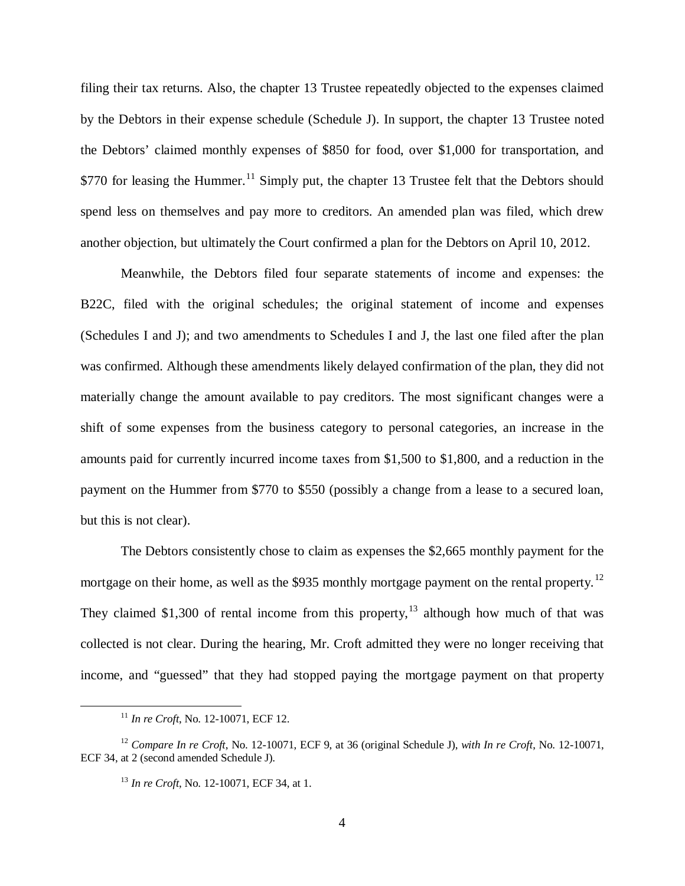filing their tax returns. Also, the chapter 13 Trustee repeatedly objected to the expenses claimed by the Debtors in their expense schedule (Schedule J). In support, the chapter 13 Trustee noted the Debtors' claimed monthly expenses of \$850 for food, over \$1,000 for transportation, and \$770 for leasing the Hummer.<sup>[11](#page-3-0)</sup> Simply put, the chapter 13 Trustee felt that the Debtors should spend less on themselves and pay more to creditors. An amended plan was filed, which drew another objection, but ultimately the Court confirmed a plan for the Debtors on April 10, 2012.

Meanwhile, the Debtors filed four separate statements of income and expenses: the B22C, filed with the original schedules; the original statement of income and expenses (Schedules I and J); and two amendments to Schedules I and J, the last one filed after the plan was confirmed. Although these amendments likely delayed confirmation of the plan, they did not materially change the amount available to pay creditors. The most significant changes were a shift of some expenses from the business category to personal categories, an increase in the amounts paid for currently incurred income taxes from \$1,500 to \$1,800, and a reduction in the payment on the Hummer from \$770 to \$550 (possibly a change from a lease to a secured loan, but this is not clear).

The Debtors consistently chose to claim as expenses the \$2,665 monthly payment for the mortgage on their home, as well as the \$935 monthly mortgage payment on the rental property.<sup>[12](#page-3-1)</sup> They claimed \$1,300 of rental income from this property,  $13$  although how much of that was collected is not clear. During the hearing, Mr. Croft admitted they were no longer receiving that income, and "guessed" that they had stopped paying the mortgage payment on that property

<sup>11</sup> *In re Croft*, No. 12-10071, ECF 12.

<span id="page-3-2"></span><span id="page-3-1"></span><span id="page-3-0"></span><sup>12</sup> *Compare In re Croft*, No. 12-10071, ECF 9, at 36 (original Schedule J), *with In re Croft*, No. 12-10071, ECF 34, at 2 (second amended Schedule J).

<sup>13</sup> *In re Croft*, No. 12-10071, ECF 34, at 1.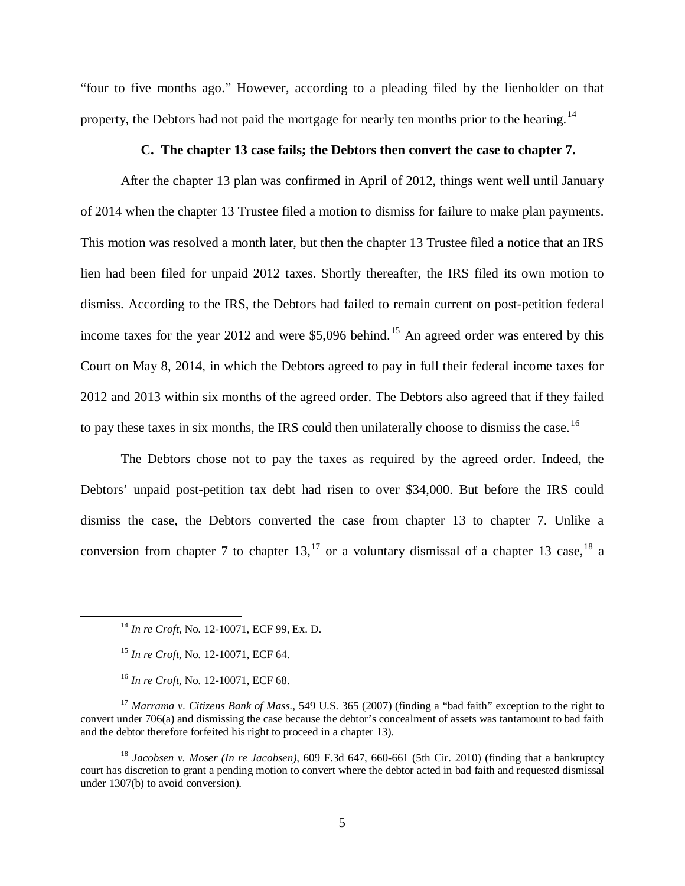"four to five months ago." However, according to a pleading filed by the lienholder on that property, the Debtors had not paid the mortgage for nearly ten months prior to the hearing.<sup>[14](#page-4-0)</sup>

### **C. The chapter 13 case fails; the Debtors then convert the case to chapter 7.**

After the chapter 13 plan was confirmed in April of 2012, things went well until January of 2014 when the chapter 13 Trustee filed a motion to dismiss for failure to make plan payments. This motion was resolved a month later, but then the chapter 13 Trustee filed a notice that an IRS lien had been filed for unpaid 2012 taxes. Shortly thereafter, the IRS filed its own motion to dismiss. According to the IRS, the Debtors had failed to remain current on post-petition federal income taxes for the year 2012 and were \$5,096 behind.<sup>[15](#page-4-1)</sup> An agreed order was entered by this Court on May 8, 2014, in which the Debtors agreed to pay in full their federal income taxes for 2012 and 2013 within six months of the agreed order. The Debtors also agreed that if they failed to pay these taxes in six months, the IRS could then unilaterally choose to dismiss the case.<sup>[16](#page-4-2)</sup>

The Debtors chose not to pay the taxes as required by the agreed order. Indeed, the Debtors' unpaid post-petition tax debt had risen to over \$34,000. But before the IRS could dismiss the case, the Debtors converted the case from chapter 13 to chapter 7. Unlike a conversion from chapter 7 to chapter  $13$ ,<sup>[17](#page-4-3)</sup> or a voluntary dismissal of a chapter 13 case,<sup>[18](#page-4-4)</sup> a

<sup>14</sup> *In re Croft*, No. 12-10071, ECF 99, Ex. D.

<sup>15</sup> *In re Croft*, No. 12-10071, ECF 64.

<sup>16</sup> *In re Croft*, No. 12-10071, ECF 68.

<span id="page-4-3"></span><span id="page-4-2"></span><span id="page-4-1"></span><span id="page-4-0"></span><sup>17</sup> *Marrama v. Citizens Bank of Mass.*, 549 U.S. 365 (2007) (finding a "bad faith" exception to the right to convert under 706(a) and dismissing the case because the debtor's concealment of assets was tantamount to bad faith and the debtor therefore forfeited his right to proceed in a chapter 13).

<span id="page-4-4"></span><sup>18</sup> *Jacobsen v. Moser (In re Jacobsen)*, 609 F.3d 647, 660-661 (5th Cir. 2010) (finding that a bankruptcy court has discretion to grant a pending motion to convert where the debtor acted in bad faith and requested dismissal under 1307(b) to avoid conversion).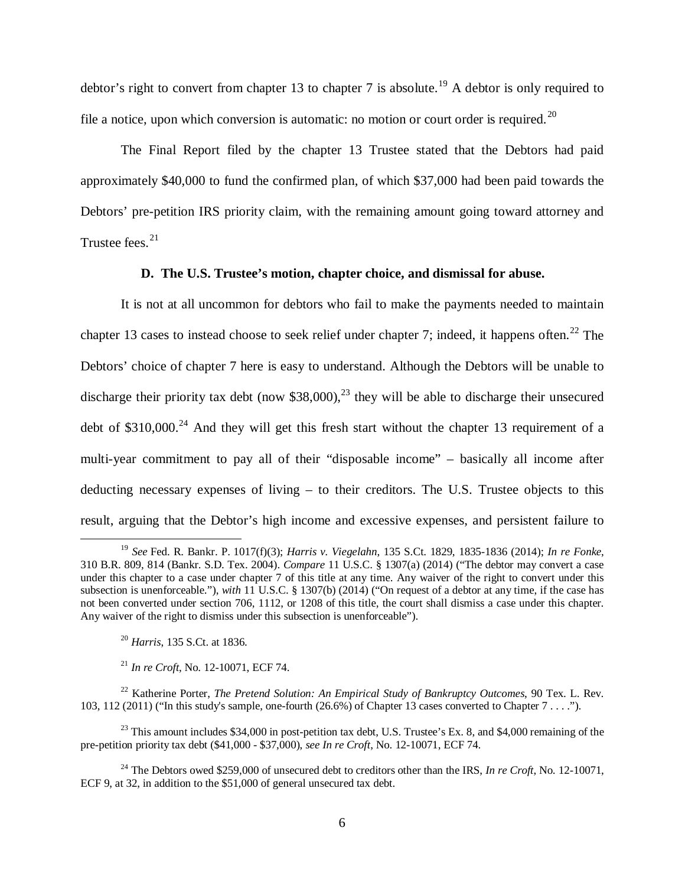debtor's right to convert from chapter 13 to chapter 7 is absolute.<sup>[19](#page-5-0)</sup> A debtor is only required to file a notice, upon which conversion is automatic: no motion or court order is required.<sup>[20](#page-5-1)</sup>

The Final Report filed by the chapter 13 Trustee stated that the Debtors had paid approximately \$40,000 to fund the confirmed plan, of which \$37,000 had been paid towards the Debtors' pre-petition IRS priority claim, with the remaining amount going toward attorney and Trustee fees. $21$ 

### **D. The U.S. Trustee's motion, chapter choice, and dismissal for abuse.**

It is not at all uncommon for debtors who fail to make the payments needed to maintain chapter 13 cases to instead choose to seek relief under chapter 7; indeed, it happens often.<sup>[22](#page-5-3)</sup> The Debtors' choice of chapter 7 here is easy to understand. Although the Debtors will be unable to discharge their priority tax debt (now \$38,000),<sup>[23](#page-5-4)</sup> they will be able to discharge their unsecured debt of  $$310,000.<sup>24</sup>$  $$310,000.<sup>24</sup>$  $$310,000.<sup>24</sup>$  And they will get this fresh start without the chapter 13 requirement of a multi-year commitment to pay all of their "disposable income" – basically all income after deducting necessary expenses of living – to their creditors. The U.S. Trustee objects to this result, arguing that the Debtor's high income and excessive expenses, and persistent failure to

<sup>20</sup> *Harris*, 135 S.Ct. at 1836.

 $\overline{a}$ 

<sup>21</sup> *In re Croft*, No. 12-10071, ECF 74.

<span id="page-5-3"></span><span id="page-5-2"></span><span id="page-5-1"></span><sup>22</sup> Katherine Porter, *The Pretend Solution: An Empirical Study of Bankruptcy Outcomes*, 90 Tex. L. Rev. 103, 112 (2011) ("In this study's sample, one-fourth (26.6%) of Chapter 13 cases converted to Chapter 7 . . . .").

<span id="page-5-4"></span> $^{23}$  This amount includes \$34,000 in post-petition tax debt, U.S. Trustee's Ex. 8, and \$4,000 remaining of the pre-petition priority tax debt (\$41,000 - \$37,000), *see In re Croft*, No. 12-10071, ECF 74.

<span id="page-5-5"></span><sup>24</sup> The Debtors owed \$259,000 of unsecured debt to creditors other than the IRS, *In re Croft*, No. 12-10071, ECF 9, at 32, in addition to the \$51,000 of general unsecured tax debt.

<span id="page-5-0"></span><sup>19</sup> *See* Fed. R. Bankr. P. 1017(f)(3); *Harris v. Viegelahn*, 135 S.Ct. 1829, 1835-1836 (2014); *In re Fonke*, 310 B.R. 809, 814 (Bankr. S.D. Tex. 2004). *Compare* 11 U.S.C. § 1307(a) (2014) ("The debtor may convert a case under this chapter to a case under chapter 7 of this title at any time. Any waiver of the right to convert under this subsection is unenforceable."), *with* 11 U.S.C. § 1307(b) (2014) ("On request of a debtor at any time, if the case has not been converted under section 706, 1112, or 1208 of this title, the court shall dismiss a case under this chapter. Any waiver of the right to dismiss under this subsection is unenforceable").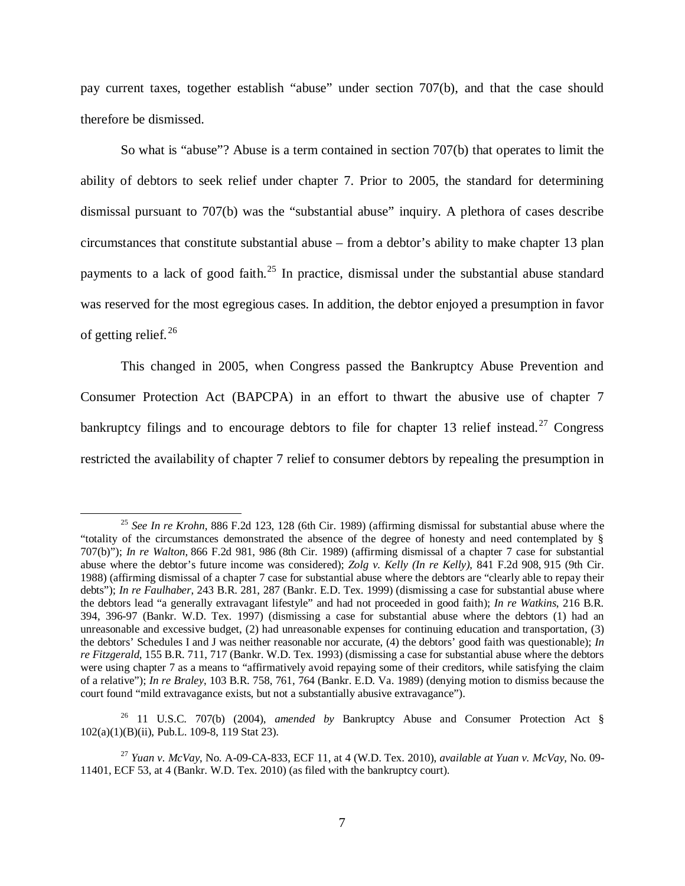pay current taxes, together establish "abuse" under section 707(b), and that the case should therefore be dismissed.

So what is "abuse"? Abuse is a term contained in section 707(b) that operates to limit the ability of debtors to seek relief under chapter 7. Prior to 2005, the standard for determining dismissal pursuant to 707(b) was the "substantial abuse" inquiry. A plethora of cases describe circumstances that constitute substantial abuse – from a debtor's ability to make chapter 13 plan payments to a lack of good faith.<sup>[25](#page-6-0)</sup> In practice, dismissal under the substantial abuse standard was reserved for the most egregious cases. In addition, the debtor enjoyed a presumption in favor of getting relief. [26](#page-6-1)

This changed in 2005, when Congress passed the Bankruptcy Abuse Prevention and Consumer Protection Act (BAPCPA) in an effort to thwart the abusive use of chapter 7 bankruptcy filings and to encourage debtors to file for chapter 13 relief instead.<sup>[27](#page-6-2)</sup> Congress restricted the availability of chapter 7 relief to consumer debtors by repealing the presumption in

 $\overline{a}$ 

<span id="page-6-1"></span><sup>26</sup> 11 U.S.C. 707(b) (2004), *amended by* Bankruptcy Abuse and Consumer Protection Act § 102(a)(1)(B)(ii), Pub.L. 109-8, 119 Stat 23).

<span id="page-6-0"></span><sup>25</sup> *See In re Krohn*, 886 F.2d 123, 128 (6th Cir. 1989) (affirming dismissal for substantial abuse where the "totality of the circumstances demonstrated the absence of the degree of honesty and need contemplated by § 707(b)"); *In re Walton*, 866 F.2d 981, 986 (8th Cir. 1989) (affirming dismissal of a chapter 7 case for substantial abuse where the debtor's future income was considered); *Zolg v. Kelly (In re Kelly)*, 841 F.2d 908, 915 (9th Cir. 1988) (affirming dismissal of a chapter 7 case for substantial abuse where the debtors are "clearly able to repay their debts"); *In re Faulhaber*, 243 B.R. 281, 287 (Bankr. E.D. Tex. 1999) (dismissing a case for substantial abuse where the debtors lead "a generally extravagant lifestyle" and had not proceeded in good faith); *In re Watkins*, 216 B.R. 394, 396-97 (Bankr. W.D. Tex. 1997) (dismissing a case for substantial abuse where the debtors (1) had an unreasonable and excessive budget, (2) had unreasonable expenses for continuing education and transportation, (3) the debtors' Schedules I and J was neither reasonable nor accurate, (4) the debtors' good faith was questionable); *In re Fitzgerald*, 155 B.R. 711, 717 (Bankr. W.D. Tex. 1993) (dismissing a case for substantial abuse where the debtors were using chapter 7 as a means to "affirmatively avoid repaying some of their creditors, while satisfying the claim of a relative"); *In re Braley*, 103 B.R. 758, 761, 764 (Bankr. E.D. Va. 1989) (denying motion to dismiss because the court found "mild extravagance exists, but not a substantially abusive extravagance").

<span id="page-6-2"></span><sup>27</sup> *Yuan v. McVay*, No. A-09-CA-833, ECF 11, at 4 (W.D. Tex. 2010), *available at Yuan v. McVay*, No. 09- 11401, ECF 53, at 4 (Bankr. W.D. Tex. 2010) (as filed with the bankruptcy court).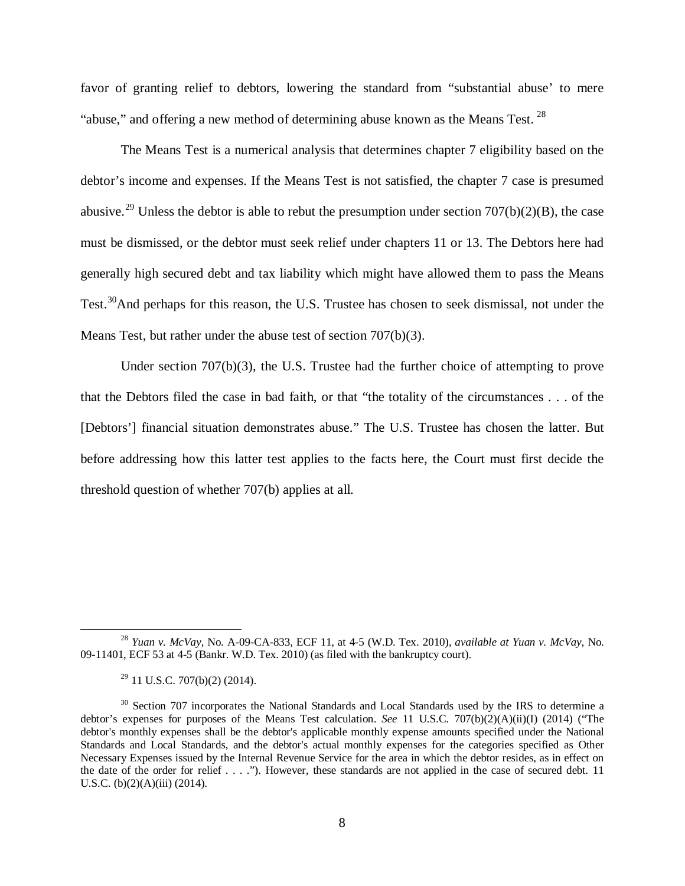favor of granting relief to debtors, lowering the standard from "substantial abuse' to mere "abuse," and offering a new method of determining abuse known as the Means Test.  $^{28}$  $^{28}$  $^{28}$ 

The Means Test is a numerical analysis that determines chapter 7 eligibility based on the debtor's income and expenses. If the Means Test is not satisfied, the chapter 7 case is presumed abusive.<sup>[29](#page-7-1)</sup> Unless the debtor is able to rebut the presumption under section  $707(b)(2)(B)$ , the case must be dismissed, or the debtor must seek relief under chapters 11 or 13. The Debtors here had generally high secured debt and tax liability which might have allowed them to pass the Means Test.<sup>[30](#page-7-2)</sup>And perhaps for this reason, the U.S. Trustee has chosen to seek dismissal, not under the Means Test, but rather under the abuse test of section 707(b)(3).

Under section  $707(b)(3)$ , the U.S. Trustee had the further choice of attempting to prove that the Debtors filed the case in bad faith, or that "the totality of the circumstances . . . of the [Debtors'] financial situation demonstrates abuse." The U.S. Trustee has chosen the latter. But before addressing how this latter test applies to the facts here, the Court must first decide the threshold question of whether 707(b) applies at all.

<span id="page-7-0"></span><sup>28</sup> *Yuan v. McVay*, No. A-09-CA-833, ECF 11, at 4-5 (W.D. Tex. 2010), *available at Yuan v. McVay*, No. 09-11401, ECF 53 at 4-5 (Bankr. W.D. Tex. 2010) (as filed with the bankruptcy court).

 $^{29}$  11 U.S.C. 707(b)(2) (2014).

<span id="page-7-2"></span><span id="page-7-1"></span><sup>&</sup>lt;sup>30</sup> Section 707 incorporates the National Standards and Local Standards used by the IRS to determine a debtor's expenses for purposes of the Means Test calculation. *See* 11 U.S.C. 707(b)(2)(A)(ii)(I) (2014) ("The debtor's monthly expenses shall be the debtor's applicable monthly expense amounts specified under the National Standards and Local Standards, and the debtor's actual monthly expenses for the categories specified as Other Necessary Expenses issued by the Internal Revenue Service for the area in which the debtor resides, as in effect on the date of the order for relief . . . ."). However, these standards are not applied in the case of secured debt. 11 U.S.C. (b)(2)(A)(iii) (2014).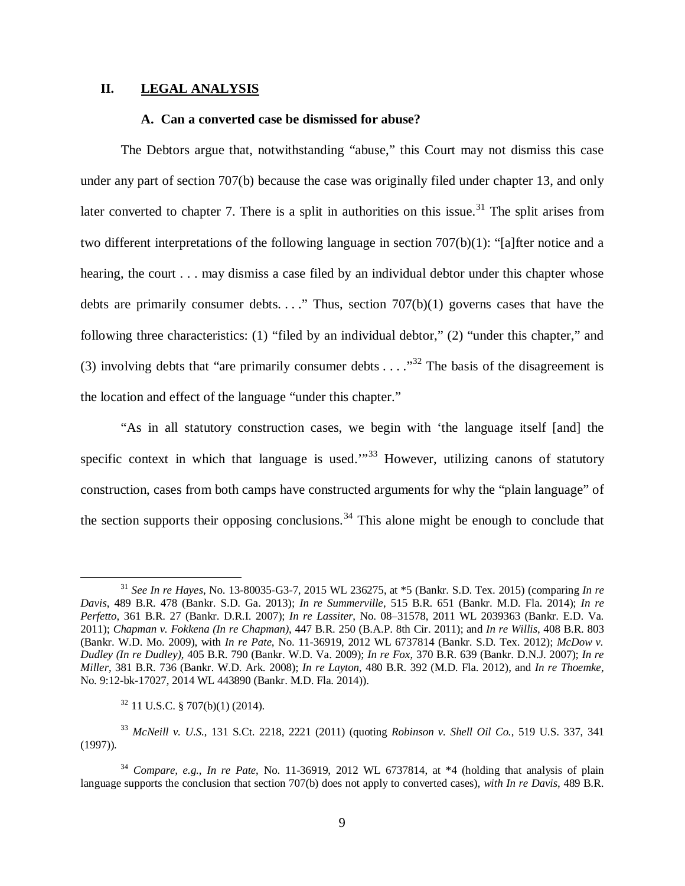# **II. LEGAL ANALYSIS**

# **A. Can a converted case be dismissed for abuse?**

The Debtors argue that, notwithstanding "abuse," this Court may not dismiss this case under any part of section 707(b) because the case was originally filed under chapter 13, and only later converted to chapter 7. There is a split in authorities on this issue.<sup>[31](#page-8-0)</sup> The split arises from two different interpretations of the following language in section 707(b)(1): "[a]fter notice and a hearing, the court . . . may dismiss a case filed by an individual debtor under this chapter whose debts are primarily consumer debts.  $\ldots$ ." Thus, section 707(b)(1) governs cases that have the following three characteristics: (1) "filed by an individual debtor," (2) "under this chapter," and (3) involving debts that "are primarily consumer debts  $\dots$ ."<sup>[32](#page-8-1)</sup> The basis of the disagreement is the location and effect of the language "under this chapter."

"As in all statutory construction cases, we begin with 'the language itself [and] the specific context in which that language is used. $1^{33}$  $1^{33}$  $1^{33}$  However, utilizing canons of statutory construction, cases from both camps have constructed arguments for why the "plain language" of the section supports their opposing conclusions.<sup>[34](#page-8-3)</sup> This alone might be enough to conclude that

<span id="page-8-0"></span><sup>31</sup> *See In re Hayes*, No. 13-80035-G3-7, 2015 WL 236275, at \*5 (Bankr. S.D. Tex. 2015) (comparing *In re Davis*, 489 B.R. 478 (Bankr. S.D. Ga. 2013); *In re Summerville*, 515 B.R. 651 (Bankr. M.D. Fla. 2014); *In re Perfetto*, 361 B.R. 27 (Bankr. D.R.I. 2007); *In re Lassiter*, No. 08–31578, 2011 WL 2039363 (Bankr. E.D. Va. 2011); *Chapman v. Fokkena (In re Chapman)*, 447 B.R. 250 (B.A.P. 8th Cir. 2011); and *In re Willis*, 408 B.R. 803 (Bankr. W.D. Mo. 2009), with *In re Pate*, No. 11-36919, 2012 WL 6737814 (Bankr. S.D. Tex. 2012); *McDow v. Dudley (In re Dudley)*, 405 B.R. 790 (Bankr. W.D. Va. 2009); *In re Fox*, 370 B.R. 639 (Bankr. D.N.J. 2007); *In re Miller*, 381 B.R. 736 (Bankr. W.D. Ark. 2008); *In re Layton*, 480 B.R. 392 (M.D. Fla. 2012), and *In re Thoemke*, No. 9:12-bk-17027, 2014 WL 443890 (Bankr. M.D. Fla. 2014)).

 $32$  11 U.S.C. § 707(b)(1) (2014).

<span id="page-8-2"></span><span id="page-8-1"></span><sup>33</sup> *McNeill v. U.S.*, 131 S.Ct. 2218, 2221 (2011) (quoting *Robinson v. Shell Oil Co.*, 519 U.S. 337, 341 (1997)).

<span id="page-8-3"></span><sup>34</sup> *Compare, e.g.*, *In re Pate*, No. 11-36919, 2012 WL 6737814, at \*4 (holding that analysis of plain language supports the conclusion that section 707(b) does not apply to converted cases), *with In re Davis*, 489 B.R.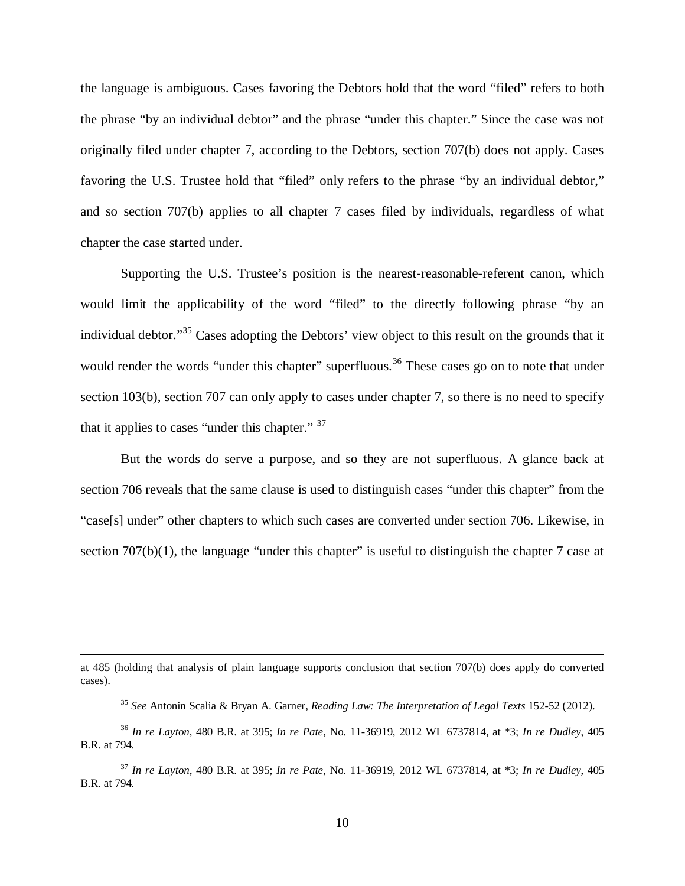the language is ambiguous. Cases favoring the Debtors hold that the word "filed" refers to both the phrase "by an individual debtor" and the phrase "under this chapter." Since the case was not originally filed under chapter 7, according to the Debtors, section 707(b) does not apply. Cases favoring the U.S. Trustee hold that "filed" only refers to the phrase "by an individual debtor," and so section 707(b) applies to all chapter 7 cases filed by individuals, regardless of what chapter the case started under.

Supporting the U.S. Trustee's position is the nearest-reasonable-referent canon, which would limit the applicability of the word "filed" to the directly following phrase "by an individual debtor."[35](#page-9-0) Cases adopting the Debtors' view object to this result on the grounds that it would render the words "under this chapter" superfluous.<sup>[36](#page-9-1)</sup> These cases go on to note that under section 103(b), section 707 can only apply to cases under chapter 7, so there is no need to specify that it applies to cases "under this chapter." <sup>[37](#page-9-2)</sup>

But the words do serve a purpose, and so they are not superfluous. A glance back at section 706 reveals that the same clause is used to distinguish cases "under this chapter" from the "case[s] under" other chapters to which such cases are converted under section 706. Likewise, in section  $707(b)(1)$ , the language "under this chapter" is useful to distinguish the chapter 7 case at

at 485 (holding that analysis of plain language supports conclusion that section 707(b) does apply do converted cases).

<sup>35</sup> *See* Antonin Scalia & Bryan A. Garner, *Reading Law: The Interpretation of Legal Texts* 152-52 (2012).

<span id="page-9-1"></span><span id="page-9-0"></span><sup>36</sup> *In re Layton*, 480 B.R. at 395; *In re Pate*, No. 11-36919, 2012 WL 6737814, at \*3; *In re Dudley*, 405 B.R. at 794.

<span id="page-9-2"></span><sup>37</sup> *In re Layton*, 480 B.R. at 395; *In re Pate*, No. 11-36919, 2012 WL 6737814, at \*3; *In re Dudley*, 405 B.R. at 794.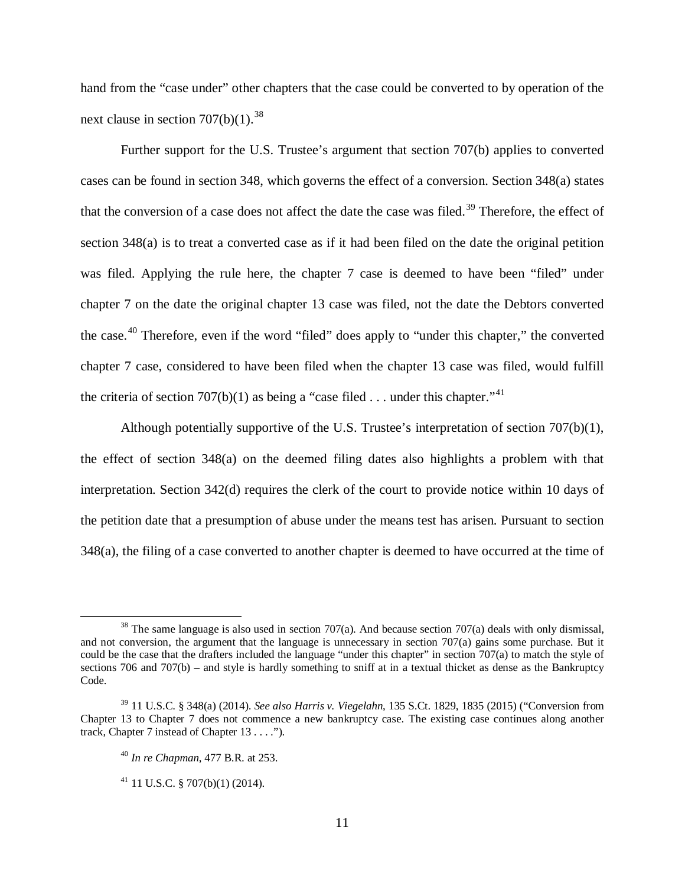hand from the "case under" other chapters that the case could be converted to by operation of the next clause in section  $707(b)(1).^{38}$  $707(b)(1).^{38}$  $707(b)(1).^{38}$ 

Further support for the U.S. Trustee's argument that section 707(b) applies to converted cases can be found in section 348, which governs the effect of a conversion. Section 348(a) states that the conversion of a case does not affect the date the case was filed.<sup>[39](#page-10-1)</sup> Therefore, the effect of section 348(a) is to treat a converted case as if it had been filed on the date the original petition was filed. Applying the rule here, the chapter 7 case is deemed to have been "filed" under chapter 7 on the date the original chapter 13 case was filed, not the date the Debtors converted the case.<sup>[40](#page-10-2)</sup> Therefore, even if the word "filed" does apply to "under this chapter," the converted chapter 7 case, considered to have been filed when the chapter 13 case was filed, would fulfill the criteria of section 707(b)(1) as being a "case filed . . . under this chapter."<sup>[41](#page-10-3)</sup>

Although potentially supportive of the U.S. Trustee's interpretation of section 707(b)(1), the effect of section 348(a) on the deemed filing dates also highlights a problem with that interpretation. Section 342(d) requires the clerk of the court to provide notice within 10 days of the petition date that a presumption of abuse under the means test has arisen. Pursuant to section 348(a), the filing of a case converted to another chapter is deemed to have occurred at the time of

<span id="page-10-0"></span><sup>&</sup>lt;sup>38</sup> The same language is also used in section 707(a). And because section 707(a) deals with only dismissal, and not conversion, the argument that the language is unnecessary in section 707(a) gains some purchase. But it could be the case that the drafters included the language "under this chapter" in section 707(a) to match the style of sections 706 and 707(b) – and style is hardly something to sniff at in a textual thicket as dense as the Bankruptcy Code.

<span id="page-10-3"></span><span id="page-10-2"></span><span id="page-10-1"></span><sup>39</sup> 11 U.S.C. § 348(a) (2014). *See also Harris v. Viegelahn*, 135 S.Ct. 1829, 1835 (2015) ("Conversion from Chapter 13 to Chapter 7 does not commence a new bankruptcy case. The existing case continues along another track, Chapter 7 instead of Chapter 13 . . . .").

<sup>40</sup> *In re Chapman*, 477 B.R. at 253.

 $41$  11 U.S.C. § 707(b)(1) (2014).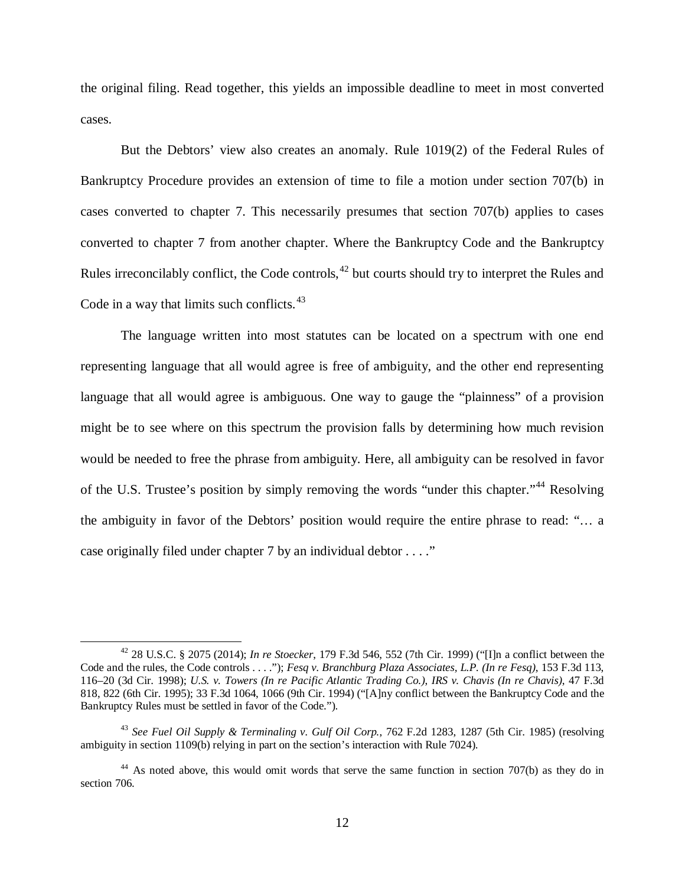the original filing. Read together, this yields an impossible deadline to meet in most converted cases.

But the Debtors' view also creates an anomaly. Rule 1019(2) of the Federal Rules of Bankruptcy Procedure provides an extension of time to file a motion under section 707(b) in cases converted to chapter 7. This necessarily presumes that section 707(b) applies to cases converted to chapter 7 from another chapter. Where the Bankruptcy Code and the Bankruptcy Rules irreconcilably conflict, the Code controls,<sup>[42](#page-11-0)</sup> but courts should try to interpret the Rules and Code in a way that limits such conflicts.<sup>[43](#page-11-1)</sup>

The language written into most statutes can be located on a spectrum with one end representing language that all would agree is free of ambiguity, and the other end representing language that all would agree is ambiguous. One way to gauge the "plainness" of a provision might be to see where on this spectrum the provision falls by determining how much revision would be needed to free the phrase from ambiguity. Here, all ambiguity can be resolved in favor of the U.S. Trustee's position by simply removing the words "under this chapter."<sup>[44](#page-11-2)</sup> Resolving the ambiguity in favor of the Debtors' position would require the entire phrase to read: "… a case originally filed under chapter 7 by an individual debtor . . . ."

<span id="page-11-0"></span><sup>42</sup> 28 U.S.C. § 2075 (2014); *In re Stoecker*, 179 F.3d 546, 552 (7th Cir. 1999) ("[I]n a conflict between the Code and the rules, the Code controls . . . ."); *Fesq v. Branchburg Plaza Associates, L.P. (In re Fesq)*, 153 F.3d 113, 116–20 (3d Cir. 1998); *U.S. v. Towers (In re Pacific Atlantic Trading Co.)*, *IRS v. Chavis (In re Chavis)*, 47 F.3d 818, 822 (6th Cir. 1995); 33 F.3d 1064, 1066 (9th Cir. 1994) ("[A]ny conflict between the Bankruptcy Code and the Bankruptcy Rules must be settled in favor of the Code.").

<span id="page-11-1"></span><sup>43</sup> *See Fuel Oil Supply & Terminaling v. Gulf Oil Corp.*, 762 F.2d 1283, 1287 (5th Cir. 1985) (resolving ambiguity in section 1109(b) relying in part on the section's interaction with Rule 7024).

<span id="page-11-2"></span><sup>&</sup>lt;sup>44</sup> As noted above, this would omit words that serve the same function in section 707(b) as they do in section 706.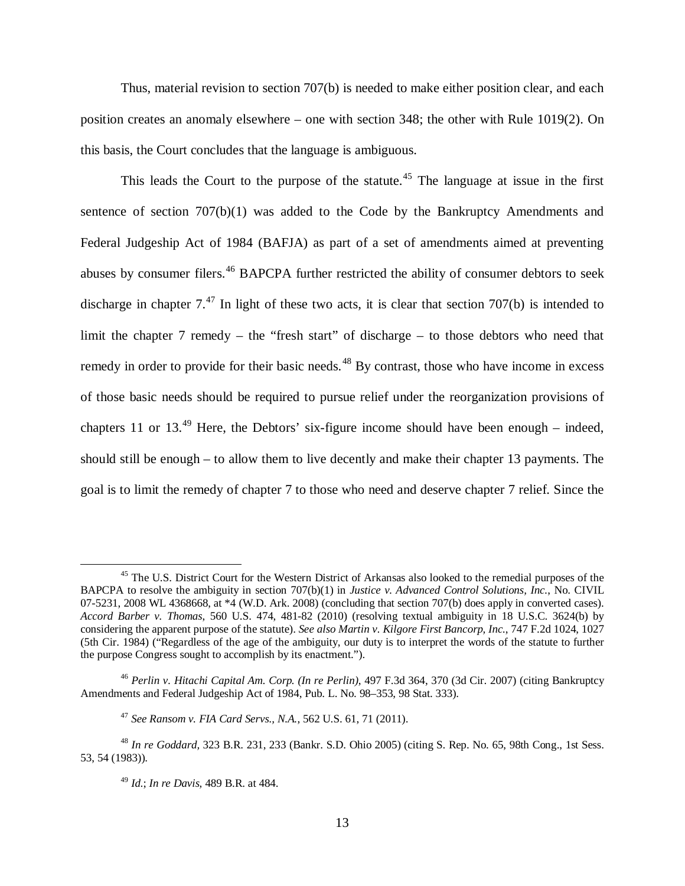Thus, material revision to section 707(b) is needed to make either position clear, and each position creates an anomaly elsewhere – one with section 348; the other with Rule 1019(2). On this basis, the Court concludes that the language is ambiguous.

This leads the Court to the purpose of the statute.<sup>[45](#page-12-0)</sup> The language at issue in the first sentence of section 707(b)(1) was added to the Code by the Bankruptcy Amendments and Federal Judgeship Act of 1984 (BAFJA) as part of a set of amendments aimed at preventing abuses by consumer filers.<sup>[46](#page-12-1)</sup> BAPCPA further restricted the ability of consumer debtors to seek discharge in chapter  $7^{47}$  $7^{47}$  $7^{47}$  In light of these two acts, it is clear that section 707(b) is intended to limit the chapter 7 remedy – the "fresh start" of discharge – to those debtors who need that remedy in order to provide for their basic needs.<sup>[48](#page-12-3)</sup> By contrast, those who have income in excess of those basic needs should be required to pursue relief under the reorganization provisions of chapters 11 or 13.<sup>[49](#page-12-4)</sup> Here, the Debtors' six-figure income should have been enough – indeed, should still be enough – to allow them to live decently and make their chapter 13 payments. The goal is to limit the remedy of chapter 7 to those who need and deserve chapter 7 relief. Since the

<span id="page-12-0"></span><sup>&</sup>lt;sup>45</sup> The U.S. District Court for the Western District of Arkansas also looked to the remedial purposes of the BAPCPA to resolve the ambiguity in section 707(b)(1) in *Justice v. Advanced Control Solutions, Inc.*, No. CIVIL 07-5231, 2008 WL 4368668, at \*4 (W.D. Ark. 2008) (concluding that section 707(b) does apply in converted cases). *Accord Barber v. Thomas*, 560 U.S. 474, 481-82 (2010) (resolving textual ambiguity in 18 U.S.C. 3624(b) by considering the apparent purpose of the statute). *See also Martin v. Kilgore First Bancorp, Inc.*, 747 F.2d 1024, 1027 (5th Cir. 1984) ("Regardless of the age of the ambiguity, our duty is to interpret the words of the statute to further the purpose Congress sought to accomplish by its enactment.").

<span id="page-12-1"></span><sup>46</sup> *Perlin v. Hitachi Capital Am. Corp. (In re Perlin)*, 497 F.3d 364, 370 (3d Cir. 2007) (citing Bankruptcy Amendments and Federal Judgeship Act of 1984, Pub. L. No. 98–353, 98 Stat. 333).

<sup>47</sup> *See Ransom v. FIA Card Servs., N.A.*, 562 U.S. 61, 71 (2011).

<span id="page-12-4"></span><span id="page-12-3"></span><span id="page-12-2"></span><sup>48</sup> *In re Goddard,* 323 B.R. 231, 233 (Bankr. S.D. Ohio 2005) (citing S. Rep. No. 65, 98th Cong., 1st Sess. 53, 54 (1983)).

<sup>49</sup> *Id.*; *In re Davis,* 489 B.R. at 484.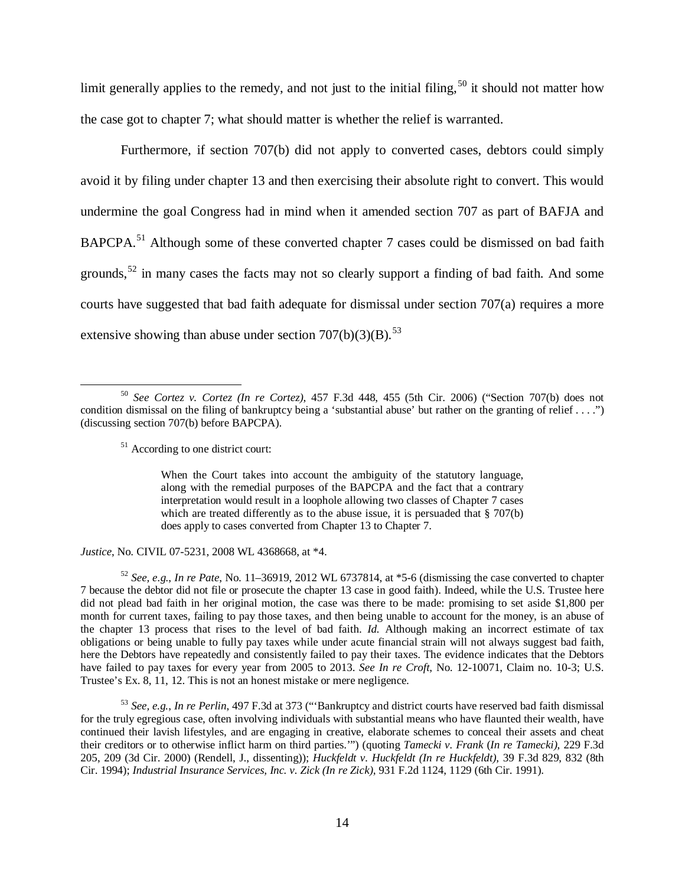limit generally applies to the remedy, and not just to the initial filing,  $50$  it should not matter how the case got to chapter 7; what should matter is whether the relief is warranted.

Furthermore, if section 707(b) did not apply to converted cases, debtors could simply avoid it by filing under chapter 13 and then exercising their absolute right to convert. This would undermine the goal Congress had in mind when it amended section 707 as part of BAFJA and BAPCPA.<sup>[51](#page-13-1)</sup> Although some of these converted chapter 7 cases could be dismissed on bad faith grounds,<sup>[52](#page-13-2)</sup> in many cases the facts may not so clearly support a finding of bad faith. And some courts have suggested that bad faith adequate for dismissal under section 707(a) requires a more extensive showing than abuse under section  $707(b)(3)(B)$ .<sup>[53](#page-13-3)</sup>

<sup>51</sup> According to one district court:

 $\overline{a}$ 

When the Court takes into account the ambiguity of the statutory language, along with the remedial purposes of the BAPCPA and the fact that a contrary interpretation would result in a loophole allowing two classes of Chapter 7 cases which are treated differently as to the abuse issue, it is persuaded that § 707(b) does apply to cases converted from Chapter 13 to Chapter 7.

*Justice*, No. CIVIL 07-5231, 2008 WL 4368668, at \*4.

<span id="page-13-2"></span><sup>52</sup> *See, e.g.*, *In re Pate*, No. 11–36919, 2012 WL 6737814, at \*5-6 (dismissing the case converted to chapter 7 because the debtor did not file or prosecute the chapter 13 case in good faith). Indeed, while the U.S. Trustee here did not plead bad faith in her original motion, the case was there to be made: promising to set aside \$1,800 per month for current taxes, failing to pay those taxes, and then being unable to account for the money, is an abuse of the chapter 13 process that rises to the level of bad faith. *Id.* Although making an incorrect estimate of tax obligations or being unable to fully pay taxes while under acute financial strain will not always suggest bad faith, here the Debtors have repeatedly and consistently failed to pay their taxes. The evidence indicates that the Debtors have failed to pay taxes for every year from 2005 to 2013. *See In re Croft*, No. 12-10071, Claim no. 10-3; U.S. Trustee's Ex. 8, 11, 12. This is not an honest mistake or mere negligence.

<span id="page-13-3"></span><sup>53</sup> *See, e.g.*, *In re Perlin*, 497 F.3d at 373 ("'Bankruptcy and district courts have reserved bad faith dismissal for the truly egregious case, often involving individuals with substantial means who have flaunted their wealth, have continued their lavish lifestyles, and are engaging in creative, elaborate schemes to conceal their assets and cheat their creditors or to otherwise inflict harm on third parties.'") (quoting *Tamecki v. Frank* (*In re Tamecki)*, 229 F.3d 205, 209 (3d Cir. 2000) (Rendell, J., dissenting)); *Huckfeldt v. Huckfeldt (In re Huckfeldt)*, 39 F.3d 829, 832 (8th Cir. 1994); *Industrial Insurance Services, Inc. v. Zick (In re Zick)*, 931 F.2d 1124, 1129 (6th Cir. 1991).

<span id="page-13-1"></span><span id="page-13-0"></span><sup>50</sup> *See Cortez v. Cortez (In re Cortez)*, 457 F.3d 448, 455 (5th Cir. 2006) ("Section 707(b) does not condition dismissal on the filing of bankruptcy being a 'substantial abuse' but rather on the granting of relief . . . .") (discussing section 707(b) before BAPCPA).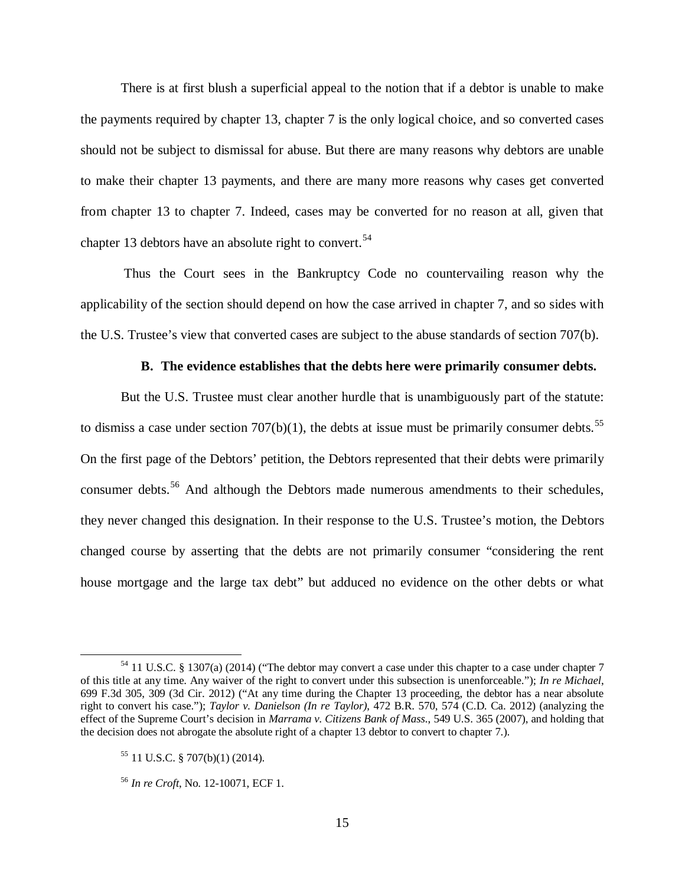There is at first blush a superficial appeal to the notion that if a debtor is unable to make the payments required by chapter 13, chapter 7 is the only logical choice, and so converted cases should not be subject to dismissal for abuse. But there are many reasons why debtors are unable to make their chapter 13 payments, and there are many more reasons why cases get converted from chapter 13 to chapter 7. Indeed, cases may be converted for no reason at all, given that chapter 13 debtors have an absolute right to convert.<sup>[54](#page-14-0)</sup>

Thus the Court sees in the Bankruptcy Code no countervailing reason why the applicability of the section should depend on how the case arrived in chapter 7, and so sides with the U.S. Trustee's view that converted cases are subject to the abuse standards of section 707(b).

### **B. The evidence establishes that the debts here were primarily consumer debts.**

But the U.S. Trustee must clear another hurdle that is unambiguously part of the statute: to dismiss a case under section  $707(b)(1)$ , the debts at issue must be primarily consumer debts.<sup>[55](#page-14-1)</sup> On the first page of the Debtors' petition, the Debtors represented that their debts were primarily consumer debts.<sup>[56](#page-14-2)</sup> And although the Debtors made numerous amendments to their schedules, they never changed this designation. In their response to the U.S. Trustee's motion, the Debtors changed course by asserting that the debts are not primarily consumer "considering the rent house mortgage and the large tax debt" but adduced no evidence on the other debts or what

<span id="page-14-0"></span><sup>54</sup> 11 U.S.C. § 1307(a) (2014) ("The debtor may convert a case under this chapter to a case under chapter 7 of this title at any time. Any waiver of the right to convert under this subsection is unenforceable."); *In re Michael*, 699 F.3d 305, 309 (3d Cir. 2012) ("At any time during the Chapter 13 proceeding, the debtor has a near absolute right to convert his case."); *Taylor v. Danielson (In re Taylor)*, 472 B.R. 570, 574 (C.D. Ca. 2012) (analyzing the effect of the Supreme Court's decision in *Marrama v. Citizens Bank of Mass.*, 549 U.S. 365 (2007), and holding that the decision does not abrogate the absolute right of a chapter 13 debtor to convert to chapter 7.).

<span id="page-14-1"></span><sup>55</sup> 11 U.S.C. § 707(b)(1) (2014).

<span id="page-14-2"></span><sup>56</sup> *In re Croft*, No. 12-10071, ECF 1.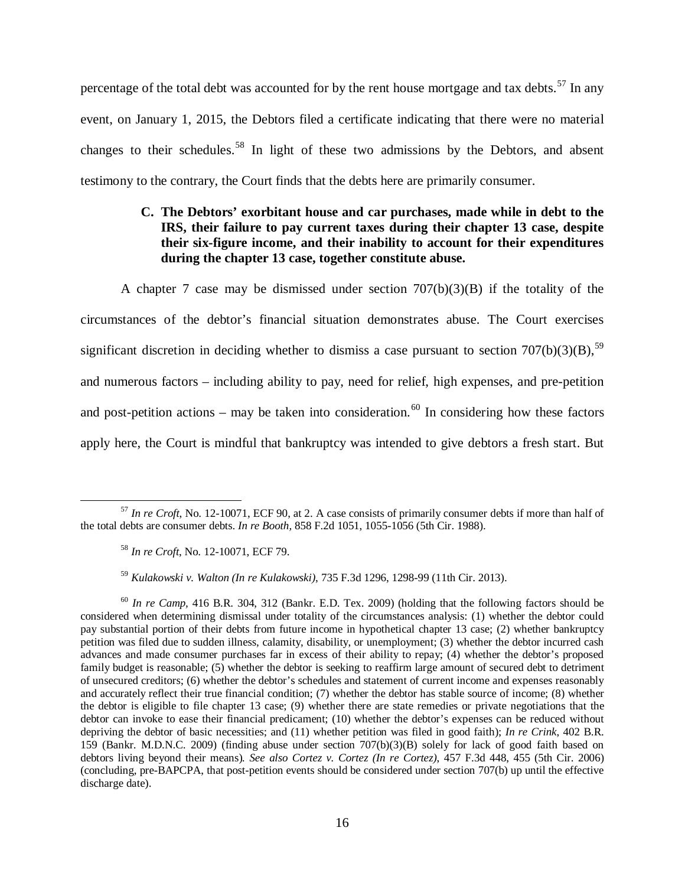percentage of the total debt was accounted for by the rent house mortgage and tax debts.<sup>[57](#page-15-0)</sup> In any event, on January 1, 2015, the Debtors filed a certificate indicating that there were no material changes to their schedules.<sup>[58](#page-15-1)</sup> In light of these two admissions by the Debtors, and absent testimony to the contrary, the Court finds that the debts here are primarily consumer.

# **C. The Debtors' exorbitant house and car purchases, made while in debt to the IRS, their failure to pay current taxes during their chapter 13 case, despite their six-figure income, and their inability to account for their expenditures during the chapter 13 case, together constitute abuse.**

A chapter 7 case may be dismissed under section 707(b)(3)(B) if the totality of the circumstances of the debtor's financial situation demonstrates abuse. The Court exercises significant discretion in deciding whether to dismiss a case pursuant to section  $707(b)(3)(B)$ ,<sup>[59](#page-15-2)</sup> and numerous factors – including ability to pay, need for relief, high expenses, and pre-petition and post-petition actions – may be taken into consideration.<sup>[60](#page-15-3)</sup> In considering how these factors apply here, the Court is mindful that bankruptcy was intended to give debtors a fresh start. But

<sup>59</sup> *Kulakowski v. Walton (In re Kulakowski)*, 735 F.3d 1296, 1298-99 (11th Cir. 2013).

<span id="page-15-0"></span><sup>57</sup> *In re Croft*, No. 12-10071, ECF 90, at 2. A case consists of primarily consumer debts if more than half of the total debts are consumer debts. *In re Booth,* 858 F.2d 1051, 1055-1056 (5th Cir. 1988).  $\overline{a}$ 

<sup>58</sup> *In re Croft*, No. 12-10071, ECF 79.

<span id="page-15-3"></span><span id="page-15-2"></span><span id="page-15-1"></span><sup>60</sup> *In re Camp,* 416 B.R. 304, 312 (Bankr. E.D. Tex. 2009) (holding that the following factors should be considered when determining dismissal under totality of the circumstances analysis: (1) whether the debtor could pay substantial portion of their debts from future income in hypothetical chapter 13 case; (2) whether bankruptcy petition was filed due to sudden illness, calamity, disability, or unemployment; (3) whether the debtor incurred cash advances and made consumer purchases far in excess of their ability to repay; (4) whether the debtor's proposed family budget is reasonable; (5) whether the debtor is seeking to reaffirm large amount of secured debt to detriment of unsecured creditors; (6) whether the debtor's schedules and statement of current income and expenses reasonably and accurately reflect their true financial condition; (7) whether the debtor has stable source of income; (8) whether the debtor is eligible to file chapter 13 case; (9) whether there are state remedies or private negotiations that the debtor can invoke to ease their financial predicament; (10) whether the debtor's expenses can be reduced without depriving the debtor of basic necessities; and (11) whether petition was filed in good faith); *In re Crink*, 402 B.R. 159 (Bankr. M.D.N.C. 2009) (finding abuse under section 707(b)(3)(B) solely for lack of good faith based on debtors living beyond their means)*. See also Cortez v. Cortez (In re Cortez)*, 457 F.3d 448, 455 (5th Cir. 2006) (concluding, pre-BAPCPA, that post-petition events should be considered under section 707(b) up until the effective discharge date).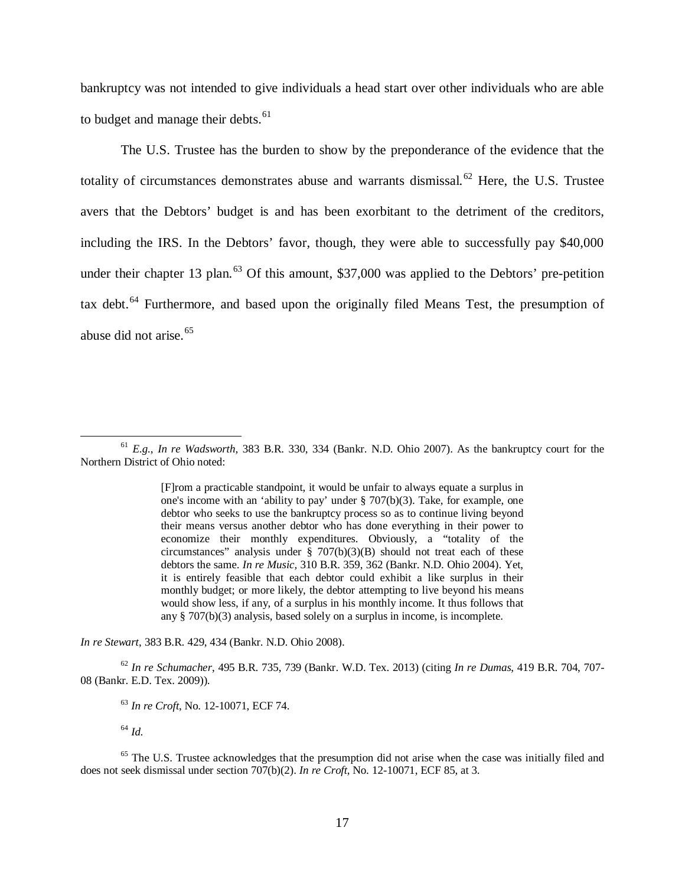bankruptcy was not intended to give individuals a head start over other individuals who are able to budget and manage their debts.<sup>[61](#page-16-0)</sup>

The U.S. Trustee has the burden to show by the preponderance of the evidence that the totality of circumstances demonstrates abuse and warrants dismissal. $62$  Here, the U.S. Trustee avers that the Debtors' budget is and has been exorbitant to the detriment of the creditors, including the IRS. In the Debtors' favor, though, they were able to successfully pay \$40,000 under their chapter 13 plan.<sup>[63](#page-16-2)</sup> Of this amount, \$37,000 was applied to the Debtors' pre-petition tax debt.<sup>[64](#page-16-3)</sup> Furthermore, and based upon the originally filed Means Test, the presumption of abuse did not arise.<sup>[65](#page-16-4)</sup>

*In re Stewart*, 383 B.R. 429, 434 (Bankr. N.D. Ohio 2008).

<span id="page-16-2"></span><span id="page-16-1"></span><sup>62</sup> *In re Schumacher*, 495 B.R. 735, 739 (Bankr. W.D. Tex. 2013) (citing *In re Dumas*, 419 B.R. 704, 707- 08 (Bankr. E.D. Tex. 2009)).

<sup>63</sup> *In re Croft*, No. 12-10071, ECF 74.

<sup>64</sup> *Id.*

 $\overline{a}$ 

<span id="page-16-4"></span><span id="page-16-3"></span><sup>65</sup> The U.S. Trustee acknowledges that the presumption did not arise when the case was initially filed and does not seek dismissal under section 707(b)(2). *In re Croft*, No. 12-10071, ECF 85, at 3.

<span id="page-16-0"></span><sup>61</sup> *E.g.*, *In re Wadsworth,* [383 B.R. 330, 334 \(Bankr. N.D. Ohio 2007\).](http://www.westlaw.com/Link/Document/FullText?findType=Y&serNum=2014371916&pubNum=164&originatingDoc=Ib57a283bcaeb11ddb5cbad29a280d47c&refType=RP&fi=co_pp_sp_164_334&originationContext=document&vr=3.0&rs=cblt1.0&transitionType=DocumentItem&contextData=(sc.UserEnteredCitation)%23co_pp_sp_164_334) As the bankruptcy court for the Northern District of Ohio noted:

<sup>[</sup>F]rom a practicable standpoint, it would be unfair to always equate a surplus in one's income with an 'ability to pay' under § 707(b)(3). Take, for example, one debtor who seeks to use the bankruptcy process so as to continue living beyond their means versus another debtor who has done everything in their power to economize their monthly expenditures. Obviously, a "totality of the circumstances" analysis under  $\S$  707(b)(3)(B) should not treat each of these debtors the same. *In re Music,* 310 B.R. 359, 362 (Bankr. N.D. Ohio 2004). Yet, it is entirely feasible that each debtor could exhibit a like surplus in their monthly budget; or more likely, the debtor attempting to live beyond his means would show less, if any, of a surplus in his monthly income. It thus follows that any § 707(b)(3) analysis, based solely on a surplus in income, is incomplete.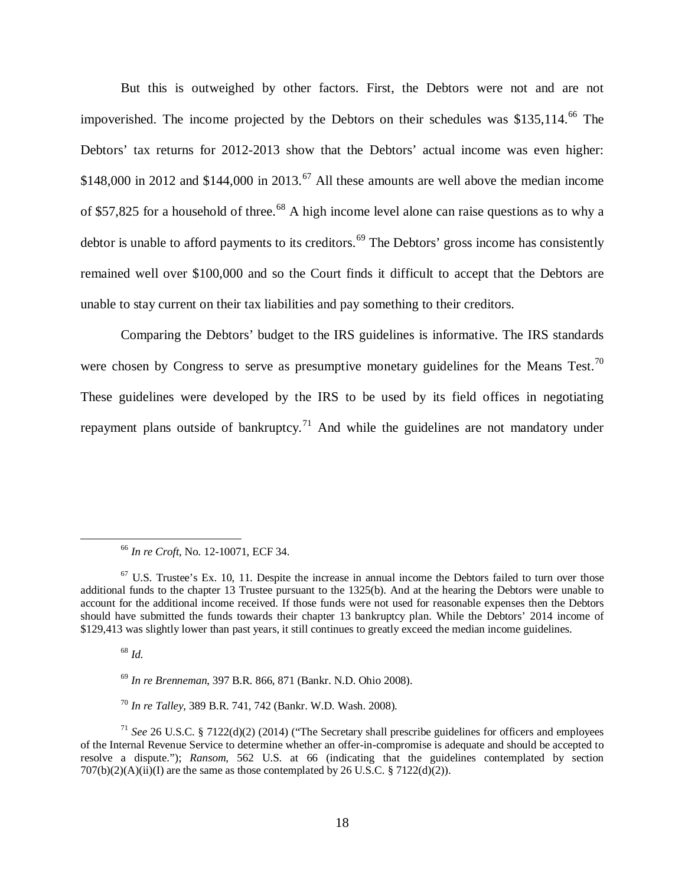But this is outweighed by other factors. First, the Debtors were not and are not impoverished. The income projected by the Debtors on their schedules was \$135,114. [66](#page-17-0) The Debtors' tax returns for 2012-2013 show that the Debtors' actual income was even higher: \$148,000 in 2012 and \$144,000 in 2013.<sup>[67](#page-17-1)</sup> All these amounts are well above the median income of \$57,825 for a household of three.<sup>[68](#page-17-2)</sup> A high income level alone can raise questions as to why a debtor is unable to afford payments to its creditors.<sup>[69](#page-17-3)</sup> The Debtors' gross income has consistently remained well over \$100,000 and so the Court finds it difficult to accept that the Debtors are unable to stay current on their tax liabilities and pay something to their creditors.

Comparing the Debtors' budget to the IRS guidelines is informative. The IRS standards were chosen by Congress to serve as presumptive monetary guidelines for the Means Test.<sup>[70](#page-17-4)</sup> These guidelines were developed by the IRS to be used by its field offices in negotiating repayment plans outside of bankruptcy.<sup>[71](#page-17-5)</sup> And while the guidelines are not mandatory under

<sup>68</sup> *Id.* 

<sup>66</sup> *In re Croft*, No. 12-10071, ECF 34.

<span id="page-17-1"></span><span id="page-17-0"></span> $67$  U.S. Trustee's Ex. 10, 11. Despite the increase in annual income the Debtors failed to turn over those additional funds to the chapter 13 Trustee pursuant to the 1325(b). And at the hearing the Debtors were unable to account for the additional income received. If those funds were not used for reasonable expenses then the Debtors should have submitted the funds towards their chapter 13 bankruptcy plan. While the Debtors' 2014 income of \$129,413 was slightly lower than past years, it still continues to greatly exceed the median income guidelines.

<sup>69</sup> *In re Brenneman*, 397 B.R. 866, 871 (Bankr. N.D. Ohio 2008).

<sup>70</sup> *In re Talley*, 389 B.R. 741, 742 (Bankr. W.D. Wash. 2008).

<span id="page-17-5"></span><span id="page-17-4"></span><span id="page-17-3"></span><span id="page-17-2"></span><sup>71</sup> *See* 26 U.S.C. § 7122(d)(2) (2014) ("The Secretary shall prescribe guidelines for officers and employees of the Internal Revenue Service to determine whether an offer-in-compromise is adequate and should be accepted to resolve a dispute."); *Ransom*, 562 U.S. at 66 (indicating that the guidelines contemplated by section  $707(b)(2)(A)(ii)(I)$  are the same as those contemplated by 26 U.S.C. § 7122(d)(2)).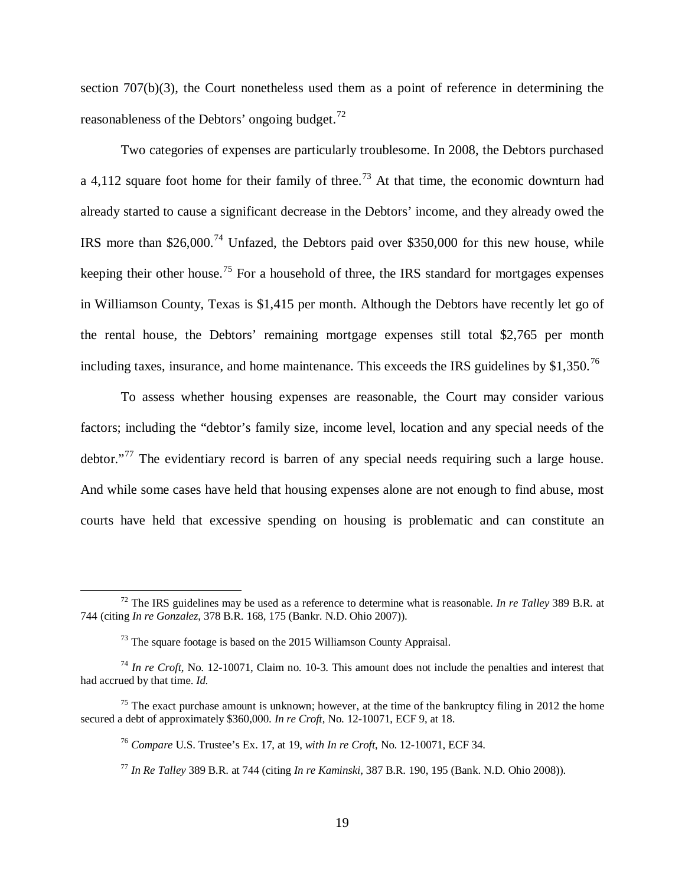section 707(b)(3), the Court nonetheless used them as a point of reference in determining the reasonableness of the Debtors' ongoing budget.<sup>[72](#page-18-0)</sup>

Two categories of expenses are particularly troublesome. In 2008, the Debtors purchased a 4,112 square foot home for their family of three.<sup>[73](#page-18-1)</sup> At that time, the economic downturn had already started to cause a significant decrease in the Debtors' income, and they already owed the IRS more than \$26,000.<sup>[74](#page-18-2)</sup> Unfazed, the Debtors paid over \$350,000 for this new house, while keeping their other house.<sup>[75](#page-18-3)</sup> For a household of three, the IRS standard for mortgages expenses in Williamson County, Texas is \$1,415 per month. Although the Debtors have recently let go of the rental house, the Debtors' remaining mortgage expenses still total \$2,765 per month including taxes, insurance, and home maintenance. This exceeds the IRS guidelines by \$1,350.<sup>[76](#page-18-4)</sup>

To assess whether housing expenses are reasonable, the Court may consider various factors; including the "debtor's family size, income level, location and any special needs of the debtor."<sup>[77](#page-18-5)</sup> The evidentiary record is barren of any special needs requiring such a large house. And while some cases have held that housing expenses alone are not enough to find abuse, most courts have held that excessive spending on housing is problematic and can constitute an

<span id="page-18-1"></span><span id="page-18-0"></span><sup>72</sup> The IRS guidelines may be used as a reference to determine what is reasonable. *In re Talley* 389 B.R. at 744 (citing *In re Gonzalez*, 378 B.R. 168, 175 (Bankr. N.D. Ohio 2007)).

 $73$  The square footage is based on the 2015 Williamson County Appraisal.

<span id="page-18-3"></span><span id="page-18-2"></span><sup>74</sup> *In re Croft*, No. 12-10071, Claim no. 10-3. This amount does not include the penalties and interest that had accrued by that time. *Id*.

<span id="page-18-6"></span><span id="page-18-5"></span><span id="page-18-4"></span> $75$  The exact purchase amount is unknown; however, at the time of the bankruptcy filing in 2012 the home secured a debt of approximately \$360,000. *In re Croft*, No. 12-10071, ECF 9, at 18.

<sup>76</sup> *Compare* U.S. Trustee's Ex. 17, at 19, *with In re Croft*, No. 12-10071, ECF 34.

<sup>77</sup> *In Re Talley* 389 B.R. at 744 (citing *In re Kaminski,* [387 B.R. 190, 195](https://a.next.westlaw.com/Link/Document/FullText?findType=Y&serNum=2015801009&pubNum=164&originatingDoc=I42eb0f09349711ddb595a478de34cd72&refType=RP&fi=co_pp_sp_164_195&originationContext=document&transitionType=DocumentItem&contextData=%28sc.Search%29%23co_pp_sp_164_195) (Bank. N.D. Ohio 2008)).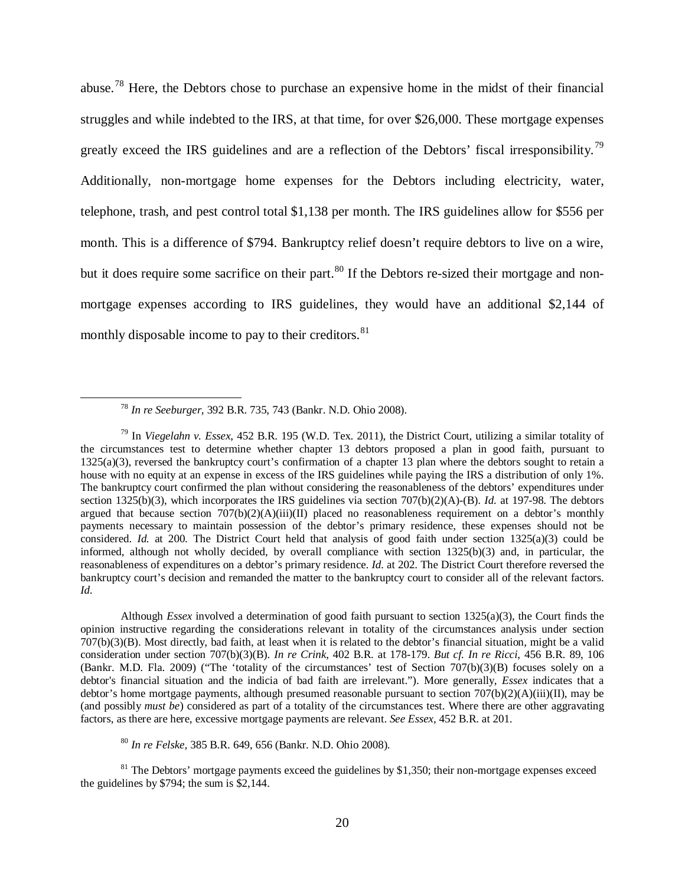abuse.[78](#page-18-6) Here, the Debtors chose to purchase an expensive home in the midst of their financial struggles and while indebted to the IRS, at that time, for over \$26,000. These mortgage expenses greatly exceed the IRS guidelines and are a reflection of the Debtors' fiscal irresponsibility.<sup>[79](#page-19-0)</sup> Additionally, non-mortgage home expenses for the Debtors including electricity, water, telephone, trash, and pest control total \$1,138 per month. The IRS guidelines allow for \$556 per month. This is a difference of \$794. Bankruptcy relief doesn't require debtors to live on a wire, but it does require some sacrifice on their part.<sup>[80](#page-19-1)</sup> If the Debtors re-sized their mortgage and nonmortgage expenses according to IRS guidelines, they would have an additional \$2,144 of monthly disposable income to pay to their creditors.  $81$ 

 $\overline{a}$ 

Although *Essex* involved a determination of good faith pursuant to section 1325(a)(3), the Court finds the opinion instructive regarding the considerations relevant in totality of the circumstances analysis under section 707(b)(3)(B). Most directly, bad faith, at least when it is related to the debtor's financial situation, might be a valid consideration under section 707(b)(3)(B). *In re Crink*, 402 B.R. at 178-179. *But cf. In re Ricci*, 456 B.R. 89, 106 (Bankr. M.D. Fla. 2009) ("The 'totality of the circumstances' test of Section 707(b)(3)(B) focuses solely on a debtor's financial situation and the indicia of bad faith are irrelevant."). More generally, *Essex* indicates that a debtor's home mortgage payments, although presumed reasonable pursuant to section  $707(b)(2)(A)(iii)(II)$ , may be (and possibly *must be*) considered as part of a totality of the circumstances test. Where there are other aggravating factors, as there are here, excessive mortgage payments are relevant. *See Essex*, 452 B.R. at 201.

<sup>80</sup> *In re Felske,* 385 B.R. 649, 656 (Bankr. N.D. Ohio 2008).

<span id="page-19-2"></span><span id="page-19-1"></span> $81$  The Debtors' mortgage payments exceed the guidelines by \$1,350; their non-mortgage expenses exceed the guidelines by \$794; the sum is \$2,144.

<sup>78</sup> *In re Seeburger*, 392 B.R. 735, 743 (Bankr. N.D. Ohio 2008).

<span id="page-19-0"></span><sup>79</sup> In *Viegelahn v. Essex*, 452 B.R. 195 (W.D. Tex. 2011), the District Court, utilizing a similar totality of the circumstances test to determine whether chapter 13 debtors proposed a plan in good faith, pursuant to 1325(a)(3), reversed the bankruptcy court's confirmation of a chapter 13 plan where the debtors sought to retain a house with no equity at an expense in excess of the IRS guidelines while paying the IRS a distribution of only 1%. The bankruptcy court confirmed the plan without considering the reasonableness of the debtors' expenditures under section 1325(b)(3), which incorporates the IRS guidelines via section 707(b)(2)(A)-(B). *Id.* at 197-98. The debtors argued that because section  $707(b)(2)(A)(iii)(II)$  placed no reasonableness requirement on a debtor's monthly payments necessary to maintain possession of the debtor's primary residence, these expenses should not be considered. *Id.* at 200. The District Court held that analysis of good faith under section 1325(a)(3) could be informed, although not wholly decided, by overall compliance with section 1325(b)(3) and, in particular, the reasonableness of expenditures on a debtor's primary residence. *Id.* at 202. The District Court therefore reversed the bankruptcy court's decision and remanded the matter to the bankruptcy court to consider all of the relevant factors. *Id.*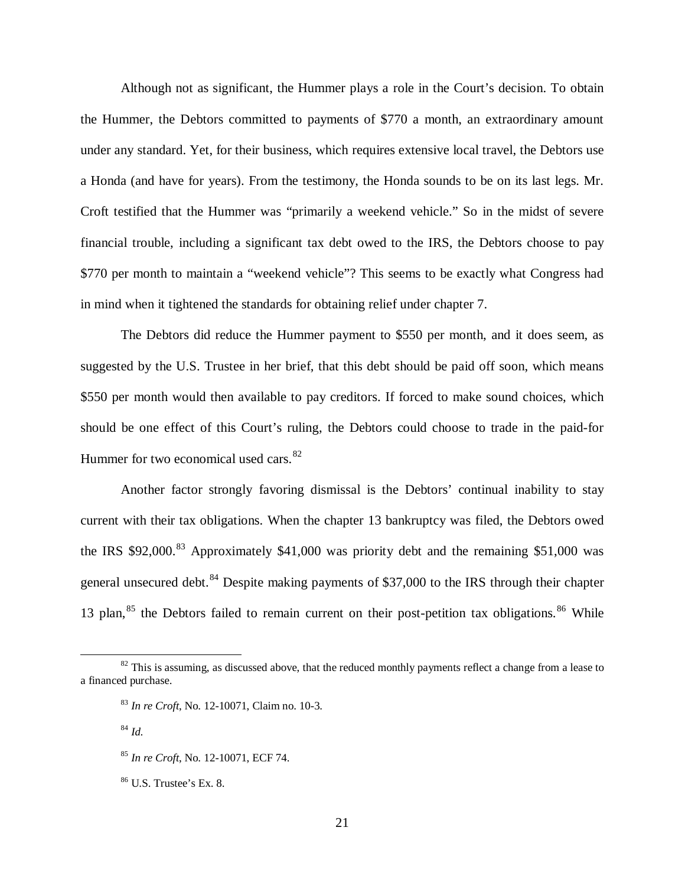Although not as significant, the Hummer plays a role in the Court's decision. To obtain the Hummer, the Debtors committed to payments of \$770 a month, an extraordinary amount under any standard. Yet, for their business, which requires extensive local travel, the Debtors use a Honda (and have for years). From the testimony, the Honda sounds to be on its last legs. Mr. Croft testified that the Hummer was "primarily a weekend vehicle." So in the midst of severe financial trouble, including a significant tax debt owed to the IRS, the Debtors choose to pay \$770 per month to maintain a "weekend vehicle"? This seems to be exactly what Congress had in mind when it tightened the standards for obtaining relief under chapter 7.

The Debtors did reduce the Hummer payment to \$550 per month, and it does seem, as suggested by the U.S. Trustee in her brief, that this debt should be paid off soon, which means \$550 per month would then available to pay creditors. If forced to make sound choices, which should be one effect of this Court's ruling, the Debtors could choose to trade in the paid-for Hummer for two economical used cars.<sup>[82](#page-20-0)</sup>

Another factor strongly favoring dismissal is the Debtors' continual inability to stay current with their tax obligations. When the chapter 13 bankruptcy was filed, the Debtors owed the IRS \$92,000.<sup>[83](#page-20-1)</sup> Approximately \$41,000 was priority debt and the remaining \$51,000 was general unsecured debt.<sup>[84](#page-20-2)</sup> Despite making payments of \$37,000 to the IRS through their chapter 13 plan,  $85$  the Debtors failed to remain current on their post-petition tax obligations.  $86$  While

<span id="page-20-2"></span><span id="page-20-1"></span><span id="page-20-0"></span> $82$  This is assuming, as discussed above, that the reduced monthly payments reflect a change from a lease to a financed purchase.

<sup>83</sup> *In re Croft*, No. 12-10071, Claim no. 10-3.

<sup>84</sup> *Id.*

<span id="page-20-3"></span><sup>85</sup> *In re Croft*, No. 12-10071, ECF 74.

<span id="page-20-4"></span> $86$  U.S. Trustee's Ex. 8.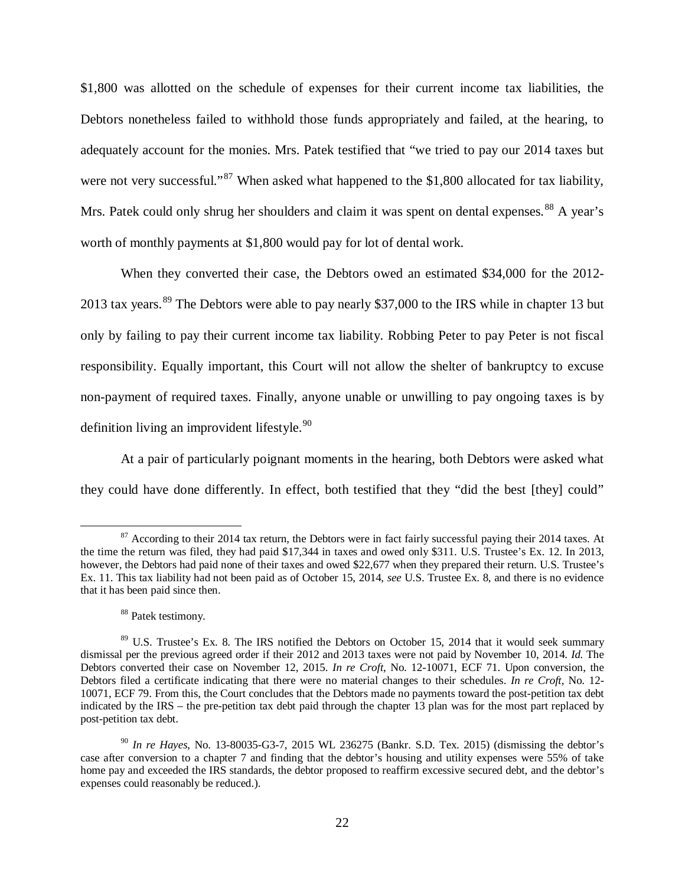\$1,800 was allotted on the schedule of expenses for their current income tax liabilities, the Debtors nonetheless failed to withhold those funds appropriately and failed, at the hearing, to adequately account for the monies. Mrs. Patek testified that "we tried to pay our 2014 taxes but were not very successful."<sup>[87](#page-21-0)</sup> When asked what happened to the \$1,800 allocated for tax liability, Mrs. Patek could only shrug her shoulders and claim it was spent on dental expenses.<sup>[88](#page-21-1)</sup> A year's worth of monthly payments at \$1,800 would pay for lot of dental work.

When they converted their case, the Debtors owed an estimated \$34,000 for the 2012- 2013 tax years.<sup>[89](#page-21-2)</sup> The Debtors were able to pay nearly \$37,000 to the IRS while in chapter 13 but only by failing to pay their current income tax liability. Robbing Peter to pay Peter is not fiscal responsibility. Equally important, this Court will not allow the shelter of bankruptcy to excuse non-payment of required taxes. Finally, anyone unable or unwilling to pay ongoing taxes is by definition living an improvident lifestyle. $90$ 

At a pair of particularly poignant moments in the hearing, both Debtors were asked what they could have done differently. In effect, both testified that they "did the best [they] could"

<span id="page-21-0"></span><sup>&</sup>lt;sup>87</sup> According to their 2014 tax return, the Debtors were in fact fairly successful paying their 2014 taxes. At the time the return was filed, they had paid \$17,344 in taxes and owed only \$311. U.S. Trustee's Ex. 12. In 2013, however, the Debtors had paid none of their taxes and owed \$22,677 when they prepared their return. U.S. Trustee's Ex. 11. This tax liability had not been paid as of October 15, 2014, *see* U.S. Trustee Ex. 8, and there is no evidence that it has been paid since then.

<sup>88</sup> Patek testimony.

<span id="page-21-2"></span><span id="page-21-1"></span><sup>&</sup>lt;sup>89</sup> U.S. Trustee's Ex. 8. The IRS notified the Debtors on October 15, 2014 that it would seek summary dismissal per the previous agreed order if their 2012 and 2013 taxes were not paid by November 10, 2014. *Id.* The Debtors converted their case on November 12, 2015. *In re Croft*, No. 12-10071, ECF 71. Upon conversion, the Debtors filed a certificate indicating that there were no material changes to their schedules. *In re Croft*, No. 12- 10071, ECF 79. From this, the Court concludes that the Debtors made no payments toward the post-petition tax debt indicated by the IRS – the pre-petition tax debt paid through the chapter 13 plan was for the most part replaced by post-petition tax debt.

<span id="page-21-3"></span><sup>90</sup> *In re Hayes*, No. 13-80035-G3-7, 2015 WL 236275 (Bankr. S.D. Tex. 2015) (dismissing the debtor's case after conversion to a chapter 7 and finding that the debtor's housing and utility expenses were 55% of take home pay and exceeded the IRS standards, the debtor proposed to reaffirm excessive secured debt, and the debtor's expenses could reasonably be reduced.).